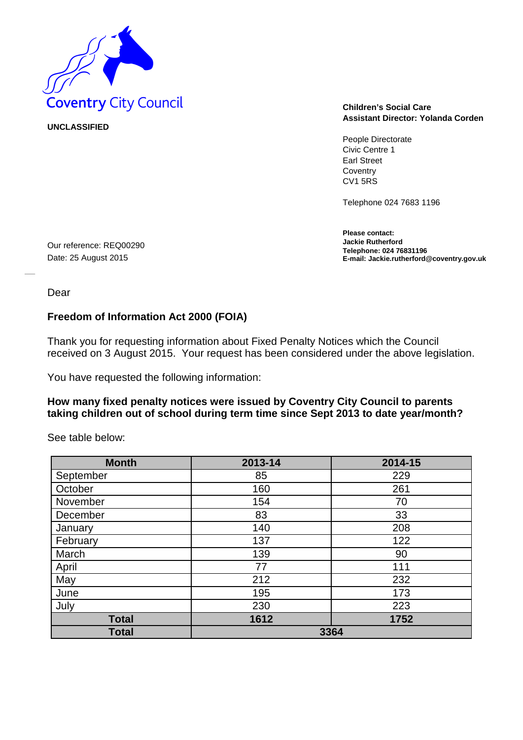

**UNCLASSIFIED** 

Our reference: REQ00290 Date: 25 August 2015

# **Assistant Director: Yolanda Corden**

People Directorate Civic Centre 1 Earl Street **Coventry** CV1 5RS

Telephone 024 7683 1196

**Please contact: Jackie Rutherford Telephone: 024 76831196 E-mail: Jackie.rutherford@coventry.gov.uk**

Dear

### **Freedom of Information Act 2000 (FOIA)**

Thank you for requesting information about Fixed Penalty Notices which the Council received on 3 August 2015. Your request has been considered under the above legislation.

You have requested the following information:

#### **How many fixed penalty notices were issued by Coventry City Council to parents taking children out of school during term time since Sept 2013 to date year/month?**

See table below:

| <b>Month</b> | 2013-14 | 2014-15 |
|--------------|---------|---------|
| September    | 85      | 229     |
| October      | 160     | 261     |
| November     | 154     | 70      |
| December     | 83      | 33      |
| January      | 140     | 208     |
| February     | 137     | 122     |
| March        | 139     | 90      |
| April        | 77      | 111     |
| May          | 212     | 232     |
| June         | 195     | 173     |
| July         | 230     | 223     |
| <b>Total</b> | 1612    | 1752    |
| <b>Total</b> |         | 3364    |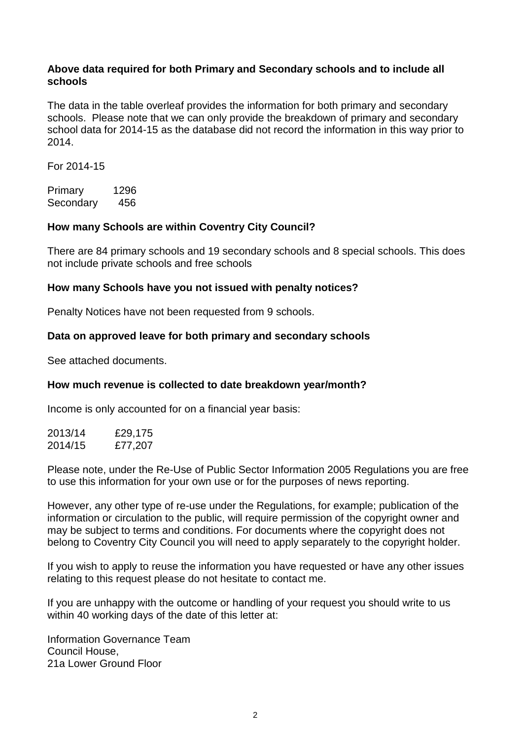#### **Above data required for both Primary and Secondary schools and to include all schools**

The data in the table overleaf provides the information for both primary and secondary schools. Please note that we can only provide the breakdown of primary and secondary school data for 2014-15 as the database did not record the information in this way prior to 2014.

For 2014-15

Primary 1296 Secondary 456

### **How many Schools are within Coventry City Council?**

There are 84 primary schools and 19 secondary schools and 8 special schools. This does not include private schools and free schools

#### **How many Schools have you not issued with penalty notices?**

Penalty Notices have not been requested from 9 schools.

#### **Data on approved leave for both primary and secondary schools**

See attached documents.

### **How much revenue is collected to date breakdown year/month?**

Income is only accounted for on a financial year basis:

| 2013/14 | £29,175 |
|---------|---------|
| 2014/15 | £77,207 |

Please note, under the Re-Use of Public Sector Information 2005 Regulations you are free to use this information for your own use or for the purposes of news reporting.

However, any other type of re-use under the Regulations, for example; publication of the information or circulation to the public, will require permission of the copyright owner and may be subject to terms and conditions. For documents where the copyright does not belong to Coventry City Council you will need to apply separately to the copyright holder.

If you wish to apply to reuse the information you have requested or have any other issues relating to this request please do not hesitate to contact me.

If you are unhappy with the outcome or handling of your request you should write to us within 40 working days of the date of this letter at:

Information Governance Team Council House, 21a Lower Ground Floor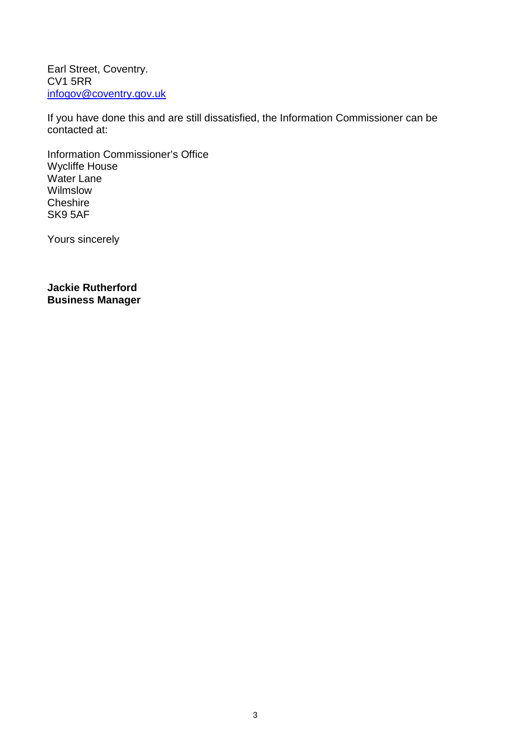Earl Street, Coventry. CV1 5RR [infogov@coventry.gov.uk](mailto:infogov@coventry.gov.uk)

If you have done this and are still dissatisfied, the Information Commissioner can be contacted at:

Information Commissioner's Office Wycliffe House Water Lane Wilmslow **Cheshire** SK9 5AF

Yours sincerely

**Jackie Rutherford Business Manager**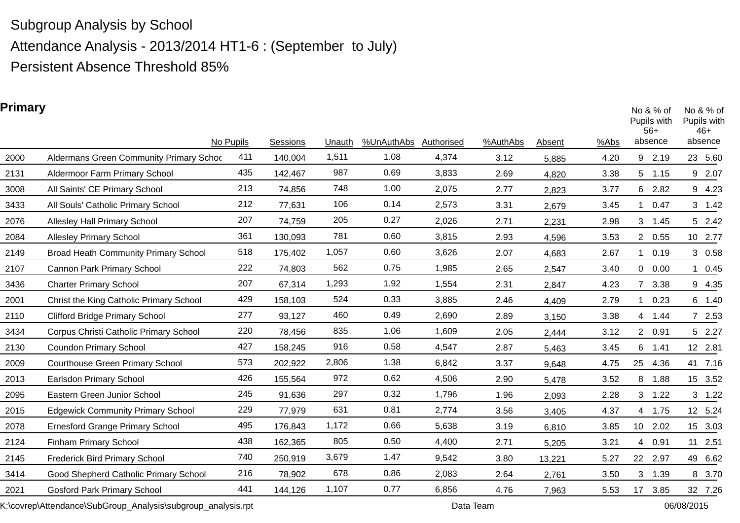Attendance Analysis - 2013/2014 HT1-6 : (September to July)

Persistent Absence Threshold 85%

### **Primary**

| rrinary |                                             | No Pupils | Sessions | Unauth | %UnAuthAbs | Authorised | %AuthAbs | Absent | %Abs |                | No $& %$ of<br>Pupils with<br>$56+$<br>absence | Pupils with<br>46+<br>absence | No $& %$ of |
|---------|---------------------------------------------|-----------|----------|--------|------------|------------|----------|--------|------|----------------|------------------------------------------------|-------------------------------|-------------|
| 2000    | Aldermans Green Community Primary Schoc     | 411       | 140,004  | 1,511  | 1.08       | 4,374      | 3.12     | 5,885  | 4.20 |                | 9 2.19                                         |                               | 23 5.60     |
| 2131    | Aldermoor Farm Primary School               | 435       | 142,467  | 987    | 0.69       | 3,833      | 2.69     | 4,820  | 3.38 | 5              | 1.15                                           |                               | 9 2.07      |
| 3008    | All Saints' CE Primary School               | 213       | 74,856   | 748    | 1.00       | 2,075      | 2.77     | 2,823  | 3.77 | 6              | 2.82                                           |                               | 9 4.23      |
| 3433    | All Souls' Catholic Primary School          | 212       | 77,631   | 106    | 0.14       | 2,573      | 3.31     | 2,679  | 3.45 |                | 0.47                                           |                               | 3 1.42      |
| 2076    | <b>Allesley Hall Primary School</b>         | 207       | 74,759   | 205    | 0.27       | 2,026      | 2.71     | 2,231  | 2.98 | 3              | 1.45                                           |                               | 5 2.42      |
| 2084    | <b>Allesley Primary School</b>              | 361       | 130,093  | 781    | 0.60       | 3,815      | 2.93     | 4,596  | 3.53 |                | 2 0.55                                         |                               | 10 2.77     |
| 2149    | <b>Broad Heath Community Primary School</b> | 518       | 175,402  | 1,057  | 0.60       | 3,626      | 2.07     | 4,683  | 2.67 |                | 0.19                                           |                               | 3 0.58      |
| 2107    | Cannon Park Primary School                  | 222       | 74,803   | 562    | 0.75       | 1,985      | 2.65     | 2,547  | 3.40 | 0              | 0.00                                           | $\mathbf 1$                   | 0.45        |
| 3436    | <b>Charter Primary School</b>               | 207       | 67,314   | 1,293  | 1.92       | 1,554      | 2.31     | 2,847  | 4.23 |                | 3.38                                           |                               | 9 4.35      |
| 2001    | Christ the King Catholic Primary School     | 429       | 158,103  | 524    | 0.33       | 3,885      | 2.46     | 4,409  | 2.79 |                | 0.23                                           |                               | 6 1.40      |
| 2110    | <b>Clifford Bridge Primary School</b>       | 277       | 93,127   | 460    | 0.49       | 2,690      | 2.89     | 3,150  | 3.38 |                | 4 1.44                                         |                               | 7 2.53      |
| 3434    | Corpus Christi Catholic Primary School      | 220       | 78,456   | 835    | 1.06       | 1,609      | 2.05     | 2,444  | 3.12 |                | 2 0.91                                         |                               | 5 2.27      |
| 2130    | <b>Coundon Primary School</b>               | 427       | 158,245  | 916    | 0.58       | 4,547      | 2.87     | 5,463  | 3.45 | 6              | 1.41                                           |                               | 12 2.81     |
| 2009    | <b>Courthouse Green Primary School</b>      | 573       | 202,922  | 2,806  | 1.38       | 6,842      | 3.37     | 9,648  | 4.75 | 25             | 4.36                                           |                               | 41 7.16     |
| 2013    | Earlsdon Primary School                     | 426       | 155,564  | 972    | 0.62       | 4,506      | 2.90     | 5,478  | 3.52 | 8              | 1.88                                           |                               | 15 3.52     |
| 2095    | Eastern Green Junior School                 | 245       | 91,636   | 297    | 0.32       | 1,796      | 1.96     | 2,093  | 2.28 | 3 <sup>7</sup> | 1.22                                           |                               | $3$ 1.22    |
| 2015    | <b>Edgewick Community Primary School</b>    | 229       | 77,979   | 631    | 0.81       | 2,774      | 3.56     | 3,405  | 4.37 |                | 4 1.75                                         |                               | 12 5.24     |
| 2078    | <b>Ernesford Grange Primary School</b>      | 495       | 176,843  | 1,172  | 0.66       | 5,638      | 3.19     | 6,810  | 3.85 |                | 10 2.02                                        |                               | 15 3.03     |
| 2124    | <b>Finham Primary School</b>                | 438       | 162,365  | 805    | 0.50       | 4,400      | 2.71     | 5,205  | 3.21 |                | 4 0.91                                         |                               | 11 2.51     |
| 2145    | <b>Frederick Bird Primary School</b>        | 740       | 250,919  | 3,679  | 1.47       | 9,542      | 3.80     | 13,221 | 5.27 |                | 22 2.97                                        |                               | 49 6.62     |
| 3414    | Good Shepherd Catholic Primary School       | 216       | 78,902   | 678    | 0.86       | 2,083      | 2.64     | 2,761  | 3.50 | 3              | 1.39                                           |                               | 8 3.70      |
| 2021    | <b>Gosford Park Primary School</b>          | 441       | 144,126  | 1,107  | 0.77       | 6,856      | 4.76     | 7,963  | 5.53 | 17             | 3.85                                           |                               | 32 7.26     |

K:\covrep\Attendance\SubGroup\_Analysis\subgroup\_analysis.rpt Data Team Data Team 06/08/2015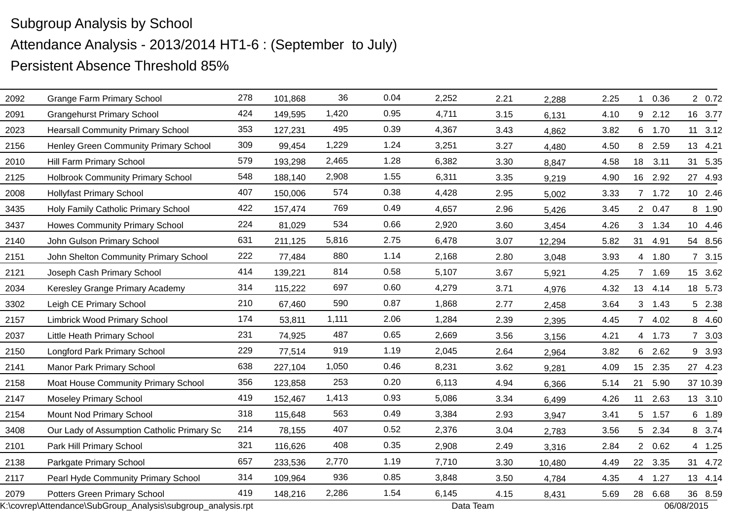| 2092 | <b>Grange Farm Primary School</b>                            | 278 | 101,868 | 36    | 0.04 | 2,252     | 2.21 | 2,288  | 2.25 | $\mathbf 1$ | 0.36    | 2 0.72     |
|------|--------------------------------------------------------------|-----|---------|-------|------|-----------|------|--------|------|-------------|---------|------------|
| 2091 | <b>Grangehurst Primary School</b>                            | 424 | 149,595 | 1,420 | 0.95 | 4,711     | 3.15 | 6,131  | 4.10 | 9           | 2.12    | 16 3.77    |
| 2023 | <b>Hearsall Community Primary School</b>                     | 353 | 127,231 | 495   | 0.39 | 4,367     | 3.43 | 4,862  | 3.82 |             | 6 1.70  | 11 3.12    |
| 2156 | Henley Green Community Primary School                        | 309 | 99,454  | 1,229 | 1.24 | 3,251     | 3.27 | 4,480  | 4.50 |             | 8 2.59  | 13 4.21    |
| 2010 | Hill Farm Primary School                                     | 579 | 193,298 | 2,465 | 1.28 | 6,382     | 3.30 | 8,847  | 4.58 | 18          | 3.11    | 31 5.35    |
| 2125 | <b>Holbrook Community Primary School</b>                     | 548 | 188,140 | 2,908 | 1.55 | 6,311     | 3.35 | 9,219  | 4.90 | 16          | 2.92    | 27 4.93    |
| 2008 | <b>Hollyfast Primary School</b>                              | 407 | 150,006 | 574   | 0.38 | 4,428     | 2.95 | 5,002  | 3.33 |             | 7 1.72  | 10 2.46    |
| 3435 | Holy Family Catholic Primary School                          | 422 | 157,474 | 769   | 0.49 | 4,657     | 2.96 | 5,426  | 3.45 |             | 2 0.47  | 8 1.90     |
| 3437 | Howes Community Primary School                               | 224 | 81,029  | 534   | 0.66 | 2,920     | 3.60 | 3,454  | 4.26 |             | 3 1.34  | 10 4.46    |
| 2140 | John Gulson Primary School                                   | 631 | 211,125 | 5,816 | 2.75 | 6,478     | 3.07 | 12,294 | 5.82 |             | 31 4.91 | 54 8.56    |
| 2151 | John Shelton Community Primary School                        | 222 | 77,484  | 880   | 1.14 | 2,168     | 2.80 | 3,048  | 3.93 |             | 4 1.80  | 73.15      |
| 2121 | Joseph Cash Primary School                                   | 414 | 139,221 | 814   | 0.58 | 5,107     | 3.67 | 5,921  | 4.25 |             | 7 1.69  | 15 3.62    |
| 2034 | Keresley Grange Primary Academy                              | 314 | 115,222 | 697   | 0.60 | 4,279     | 3.71 | 4,976  | 4.32 |             | 13 4.14 | 18 5.73    |
| 3302 | Leigh CE Primary School                                      | 210 | 67,460  | 590   | 0.87 | 1,868     | 2.77 | 2,458  | 3.64 |             | 3, 1.43 | 5 2.38     |
| 2157 | Limbrick Wood Primary School                                 | 174 | 53,811  | 1,111 | 2.06 | 1,284     | 2.39 | 2,395  | 4.45 |             | 7 4.02  | 8 4.60     |
| 2037 | Little Heath Primary School                                  | 231 | 74,925  | 487   | 0.65 | 2,669     | 3.56 | 3,156  | 4.21 |             | 4 1.73  | 7 3.03     |
| 2150 | <b>Longford Park Primary School</b>                          | 229 | 77,514  | 919   | 1.19 | 2,045     | 2.64 | 2,964  | 3.82 |             | 6 2.62  | 9 3.93     |
| 2141 | <b>Manor Park Primary School</b>                             | 638 | 227,104 | 1,050 | 0.46 | 8,231     | 3.62 | 9,281  | 4.09 |             | 15 2.35 | 27 4.23    |
| 2158 | Moat House Community Primary School                          | 356 | 123,858 | 253   | 0.20 | 6,113     | 4.94 | 6,366  | 5.14 | 21          | 5.90    | 37 10.39   |
| 2147 | <b>Moseley Primary School</b>                                | 419 | 152,467 | 1,413 | 0.93 | 5,086     | 3.34 | 6,499  | 4.26 | 11          | 2.63    | 13 3.10    |
| 2154 | Mount Nod Primary School                                     | 318 | 115,648 | 563   | 0.49 | 3,384     | 2.93 | 3,947  | 3.41 |             | 5 1.57  | 6 1.89     |
| 3408 | Our Lady of Assumption Catholic Primary Sc                   | 214 | 78,155  | 407   | 0.52 | 2,376     | 3.04 | 2,783  | 3.56 |             | 5 2.34  | 8 3.74     |
| 2101 | Park Hill Primary School                                     | 321 | 116,626 | 408   | 0.35 | 2,908     | 2.49 | 3,316  | 2.84 |             | 2 0.62  | 4 1.25     |
| 2138 | Parkgate Primary School                                      | 657 | 233,536 | 2,770 | 1.19 | 7,710     | 3.30 | 10,480 | 4.49 |             | 22 3.35 | 31 4.72    |
| 2117 | Pearl Hyde Community Primary School                          | 314 | 109,964 | 936   | 0.85 | 3,848     | 3.50 | 4,784  | 4.35 | 4           | 1.27    | 13 4.14    |
| 2079 | <b>Potters Green Primary School</b>                          | 419 | 148,216 | 2,286 | 1.54 | 6,145     | 4.15 | 8,431  | 5.69 | 28          | 6.68    | 36 8.59    |
|      | K:\covrep\Attendance\SubGroup_Analysis\subgroup_analysis.rpt |     |         |       |      | Data Team |      |        |      |             |         | 06/08/2015 |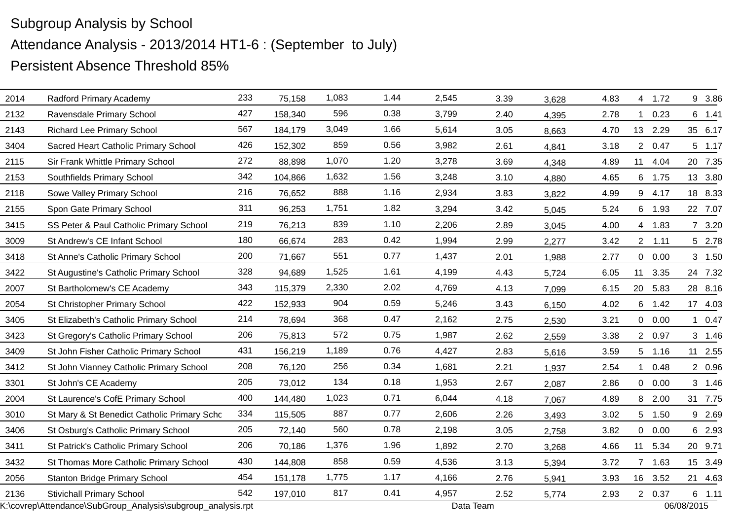| 2014 | Radford Primary Academy                                      | 233 | 75,158  | 1,083 | 1.44 | 2,545 | 3.39      | 3,628 | 4.83 |                | 4 1.72  |            | 9 3.86   |
|------|--------------------------------------------------------------|-----|---------|-------|------|-------|-----------|-------|------|----------------|---------|------------|----------|
| 2132 | Ravensdale Primary School                                    | 427 | 158,340 | 596   | 0.38 | 3,799 | 2.40      | 4,395 | 2.78 | 1              | 0.23    |            | 6 1.41   |
| 2143 | <b>Richard Lee Primary School</b>                            | 567 | 184,179 | 3,049 | 1.66 | 5,614 | 3.05      | 8,663 | 4.70 |                | 13 2.29 |            | 35 6.17  |
| 3404 | Sacred Heart Catholic Primary School                         | 426 | 152,302 | 859   | 0.56 | 3,982 | 2.61      | 4,841 | 3.18 |                | 2 0.47  |            | 5 1.17   |
| 2115 | Sir Frank Whittle Primary School                             | 272 | 88,898  | 1,070 | 1.20 | 3,278 | 3.69      | 4,348 | 4.89 |                | 11 4.04 |            | 20 7.35  |
| 2153 | Southfields Primary School                                   | 342 | 104,866 | 1,632 | 1.56 | 3,248 | 3.10      | 4,880 | 4.65 |                | 6 1.75  |            | 13 3.80  |
| 2118 | Sowe Valley Primary School                                   | 216 | 76,652  | 888   | 1.16 | 2,934 | 3.83      | 3,822 | 4.99 |                | 9 4.17  |            | 18 8.33  |
| 2155 | Spon Gate Primary School                                     | 311 | 96,253  | 1,751 | 1.82 | 3,294 | 3.42      | 5,045 | 5.24 |                | 6 1.93  |            | 22 7.07  |
| 3415 | SS Peter & Paul Catholic Primary School                      | 219 | 76,213  | 839   | 1.10 | 2,206 | 2.89      | 3,045 | 4.00 |                | 4 1.83  |            | 7 3.20   |
| 3009 | St Andrew's CE Infant School                                 | 180 | 66,674  | 283   | 0.42 | 1,994 | 2.99      | 2,277 | 3.42 | $2^{\circ}$    | 1.11    |            | 5 2.78   |
| 3418 | St Anne's Catholic Primary School                            | 200 | 71,667  | 551   | 0.77 | 1,437 | 2.01      | 1,988 | 2.77 |                | 0 0.00  |            | 3 1.50   |
| 3422 | St Augustine's Catholic Primary School                       | 328 | 94,689  | 1,525 | 1.61 | 4,199 | 4.43      | 5,724 | 6.05 | 11             | 3.35    |            | 24 7.32  |
| 2007 | St Bartholomew's CE Academy                                  | 343 | 115,379 | 2,330 | 2.02 | 4,769 | 4.13      | 7,099 | 6.15 |                | 20 5.83 |            | 28 8.16  |
| 2054 | St Christopher Primary School                                | 422 | 152,933 | 904   | 0.59 | 5,246 | 3.43      | 6,150 | 4.02 |                | 6 1.42  |            | 17 4.03  |
| 3405 | St Elizabeth's Catholic Primary School                       | 214 | 78,694  | 368   | 0.47 | 2,162 | 2.75      | 2,530 | 3.21 | $\overline{0}$ | 0.00    | 1          | 0.47     |
| 3423 | St Gregory's Catholic Primary School                         | 206 | 75,813  | 572   | 0.75 | 1,987 | 2.62      | 2,559 | 3.38 |                | 2 0.97  |            | 3 1.46   |
| 3409 | St John Fisher Catholic Primary School                       | 431 | 156,219 | 1,189 | 0.76 | 4,427 | 2.83      | 5,616 | 3.59 |                | 5 1.16  |            | 11 2.55  |
| 3412 | St John Vianney Catholic Primary School                      | 208 | 76,120  | 256   | 0.34 | 1,681 | 2.21      | 1,937 | 2.54 | $\mathbf{1}$   | 0.48    |            | 2 0.96   |
| 3301 | St John's CE Academy                                         | 205 | 73,012  | 134   | 0.18 | 1,953 | 2.67      | 2,087 | 2.86 | $\overline{0}$ | 0.00    |            | 3 1.46   |
| 2004 | St Laurence's CofE Primary School                            | 400 | 144,480 | 1,023 | 0.71 | 6,044 | 4.18      | 7,067 | 4.89 | 8              | 2.00    |            | 31 7.75  |
| 3010 | St Mary & St Benedict Catholic Primary Scho                  | 334 | 115,505 | 887   | 0.77 | 2,606 | 2.26      | 3,493 | 3.02 |                | 5 1.50  |            | 9 2.69   |
| 3406 | St Osburg's Catholic Primary School                          | 205 | 72,140  | 560   | 0.78 | 2,198 | 3.05      | 2,758 | 3.82 | $\overline{0}$ | 0.00    |            | 6 2.93   |
| 3411 | St Patrick's Catholic Primary School                         | 206 | 70,186  | 1,376 | 1.96 | 1,892 | 2.70      | 3,268 | 4.66 | 11             | 5.34    |            | 20 9.71  |
| 3432 | St Thomas More Catholic Primary School                       | 430 | 144,808 | 858   | 0.59 | 4,536 | 3.13      | 5,394 | 3.72 |                | 7 1.63  |            | 15 3.49  |
| 2056 | <b>Stanton Bridge Primary School</b>                         | 454 | 151,178 | 1,775 | 1.17 | 4,166 | 2.76      | 5,941 | 3.93 | 16             | 3.52    |            | 21 4.63  |
| 2136 | <b>Stivichall Primary School</b>                             | 542 | 197,010 | 817   | 0.41 | 4,957 | 2.52      | 5,774 | 2.93 |                | 2 0.37  |            | $6$ 1.11 |
|      | K:\covrep\Attendance\SubGroup_Analysis\subgroup_analysis.rpt |     |         |       |      |       | Data Team |       |      |                |         | 06/08/2015 |          |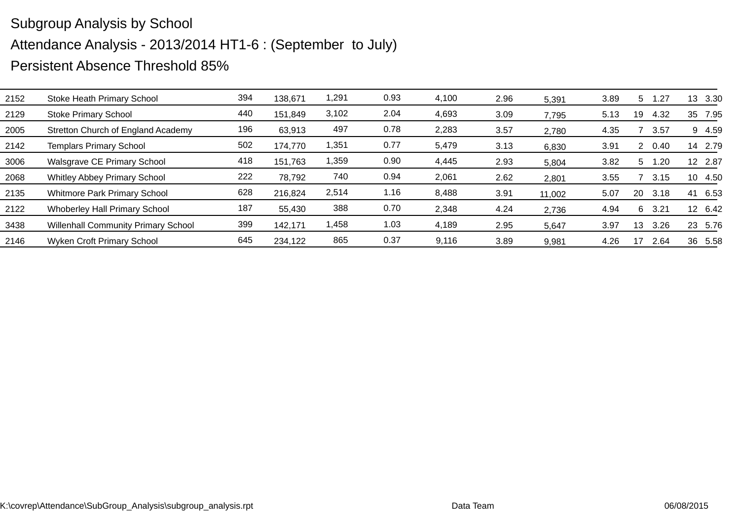| 2152 | Stoke Heath Primary School                 | 394 | 138,671 | 1,291 | 0.93 | 4,100 | 2.96 | 5,391  | 3.89 | 5  | .27   | 13 | 3.30    |
|------|--------------------------------------------|-----|---------|-------|------|-------|------|--------|------|----|-------|----|---------|
| 2129 | <b>Stoke Primary School</b>                | 440 | 151,849 | 3,102 | 2.04 | 4,693 | 3.09 | 7,795  | 5.13 | 19 | 4.32  | 35 | 7.95    |
| 2005 | Stretton Church of England Academy         | 196 | 63,913  | 497   | 0.78 | 2,283 | 3.57 | 2,780  | 4.35 |    | 3.57  |    | 9 4.59  |
| 2142 | <b>Templars Primary School</b>             | 502 | 174,770 | 1,351 | 0.77 | 5,479 | 3.13 | 6,830  | 3.91 |    | 20.40 | 14 | 2.79    |
| 3006 | Walsgrave CE Primary School                | 418 | 151,763 | 1,359 | 0.90 | 4,445 | 2.93 | 5,804  | 3.82 | 5  | 1.20  |    | 12 2.87 |
| 2068 | <b>Whitley Abbey Primary School</b>        | 222 | 78,792  | 740   | 0.94 | 2,061 | 2.62 | 2,801  | 3.55 |    | 3.15  | 10 | 4.50    |
| 2135 | Whitmore Park Primary School               | 628 | 216,824 | 2,514 | 1.16 | 8,488 | 3.91 | 11,002 | 5.07 | 20 | 3.18  | 41 | 6.53    |
| 2122 | <b>Whoberley Hall Primary School</b>       | 187 | 55,430  | 388   | 0.70 | 2,348 | 4.24 | 2,736  | 4.94 | 6  | 3.21  |    | 12 6.42 |
| 3438 | <b>Willenhall Community Primary School</b> | 399 | 142,171 | 1,458 | 1.03 | 4,189 | 2.95 | 5,647  | 3.97 | 13 | 3.26  |    | 23 5.76 |
| 2146 | <b>Wyken Croft Primary School</b>          | 645 | 234,122 | 865   | 0.37 | 9,116 | 3.89 | 9,981  | 4.26 | 17 | 2.64  | 36 | 5.58    |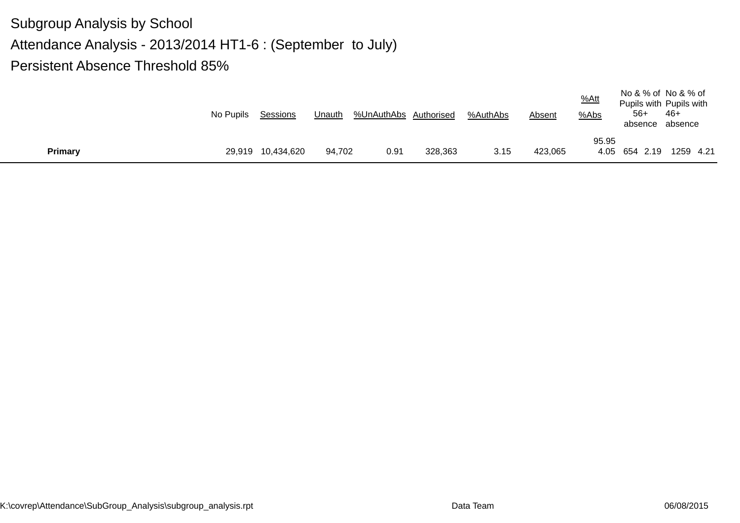|                | No Pupils | Sessions          | Unauth | %UnAuthAbs Authorised |         | %AuthAbs | Absent  | $%$ Att<br>%Abs | $56+$<br>absence absence | No & % of No & % of<br>Pupils with Pupils with<br>-46+ |
|----------------|-----------|-------------------|--------|-----------------------|---------|----------|---------|-----------------|--------------------------|--------------------------------------------------------|
| <b>Primary</b> |           | 29,919 10,434,620 | 94,702 | 0.91                  | 328,363 | 3.15     | 423,065 | 95.95           | 4.05 654 2.19            | 1259 4.21                                              |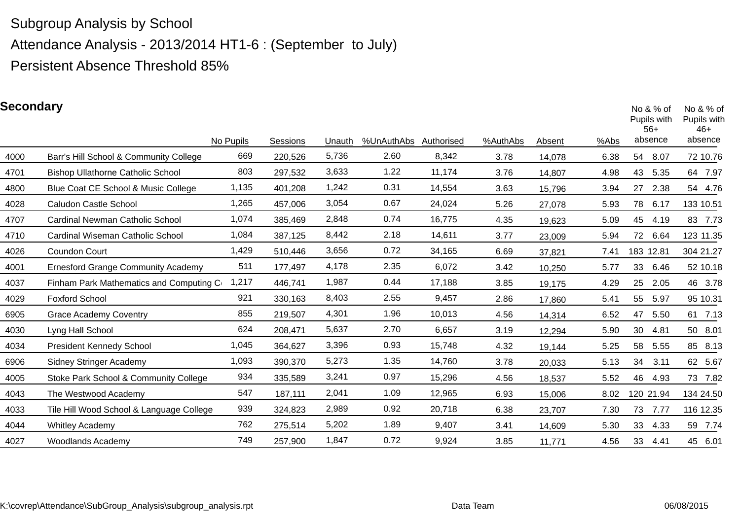Attendance Analysis - 2013/2014 HT1-6 : (September to July)

Persistent Absence Threshold 85%

### **Secondary**

| pecondary |                                           | No Pupils | Sessions | Unauth | %UnAuthAbs | Authorised | %AuthAbs | Absent | %Abs | No $& %$ of<br>Pupils with<br>$56+$<br>absence |      | No & % of<br>Pupils with<br>$46+$<br>absence |
|-----------|-------------------------------------------|-----------|----------|--------|------------|------------|----------|--------|------|------------------------------------------------|------|----------------------------------------------|
| 4000      | Barr's Hill School & Community College    | 669       | 220,526  | 5,736  | 2.60       | 8,342      | 3.78     | 14,078 | 6.38 | 54                                             | 8.07 | 72 10.76                                     |
| 4701      | <b>Bishop Ullathorne Catholic School</b>  | 803       | 297,532  | 3,633  | 1.22       | 11,174     | 3.76     | 14,807 | 4.98 | 43                                             | 5.35 | 64 7.97                                      |
| 4800      | Blue Coat CE School & Music College       | 1,135     | 401,208  | 1,242  | 0.31       | 14,554     | 3.63     | 15,796 | 3.94 | 27                                             | 2.38 | 54 4.76                                      |
| 4028      | <b>Caludon Castle School</b>              | 1,265     | 457,006  | 3,054  | 0.67       | 24,024     | 5.26     | 27,078 | 5.93 | 78                                             | 6.17 | 133 10.51                                    |
| 4707      | <b>Cardinal Newman Catholic School</b>    | 1,074     | 385,469  | 2,848  | 0.74       | 16,775     | 4.35     | 19,623 | 5.09 | 45                                             | 4.19 | 83 7.73                                      |
| 4710      | Cardinal Wiseman Catholic School          | 1,084     | 387,125  | 8,442  | 2.18       | 14,611     | 3.77     | 23,009 | 5.94 | 72                                             | 6.64 | 123 11.35                                    |
| 4026      | Coundon Court                             | 1,429     | 510,446  | 3,656  | 0.72       | 34,165     | 6.69     | 37,821 | 7.41 | 183 12.81                                      |      | 304 21.27                                    |
| 4001      | <b>Ernesford Grange Community Academy</b> | 511       | 177,497  | 4,178  | 2.35       | 6,072      | 3.42     | 10,250 | 5.77 | 33                                             | 6.46 | 52 10.18                                     |
| 4037      | Finham Park Mathematics and Computing Co  | 1,217     | 446,741  | 1,987  | 0.44       | 17,188     | 3.85     | 19,175 | 4.29 | 25                                             | 2.05 | 46 3.78                                      |
| 4029      | <b>Foxford School</b>                     | 921       | 330,163  | 8,403  | 2.55       | 9,457      | 2.86     | 17,860 | 5.41 | 55                                             | 5.97 | 95 10.31                                     |
| 6905      | <b>Grace Academy Coventry</b>             | 855       | 219,507  | 4,301  | 1.96       | 10,013     | 4.56     | 14,314 | 6.52 | 47                                             | 5.50 | 61 7.13                                      |
| 4030      | Lyng Hall School                          | 624       | 208,471  | 5,637  | 2.70       | 6,657      | 3.19     | 12,294 | 5.90 | 30                                             | 4.81 | 50 8.01                                      |
| 4034      | <b>President Kennedy School</b>           | 1,045     | 364,627  | 3,396  | 0.93       | 15,748     | 4.32     | 19,144 | 5.25 | 58                                             | 5.55 | 85 8.13                                      |
| 6906      | <b>Sidney Stringer Academy</b>            | 1,093     | 390,370  | 5,273  | 1.35       | 14,760     | 3.78     | 20,033 | 5.13 | 34                                             | 3.11 | 62 5.67                                      |
| 4005      | Stoke Park School & Community College     | 934       | 335,589  | 3,241  | 0.97       | 15,296     | 4.56     | 18,537 | 5.52 | 46                                             | 4.93 | 73 7.82                                      |
| 4043      | The Westwood Academy                      | 547       | 187,111  | 2,041  | 1.09       | 12,965     | 6.93     | 15,006 | 8.02 | 120 21.94                                      |      | 134 24.50                                    |
| 4033      | Tile Hill Wood School & Language College  | 939       | 324,823  | 2,989  | 0.92       | 20,718     | 6.38     | 23,707 | 7.30 | 73                                             | 7.77 | 116 12.35                                    |
| 4044      | <b>Whitley Academy</b>                    | 762       | 275,514  | 5,202  | 1.89       | 9,407      | 3.41     | 14,609 | 5.30 | 33                                             | 4.33 | 59 7.74                                      |
| 4027      | <b>Woodlands Academy</b>                  | 749       | 257,900  | 1,847  | 0.72       | 9,924      | 3.85     | 11,771 | 4.56 | 33                                             | 4.41 | 45 6.01                                      |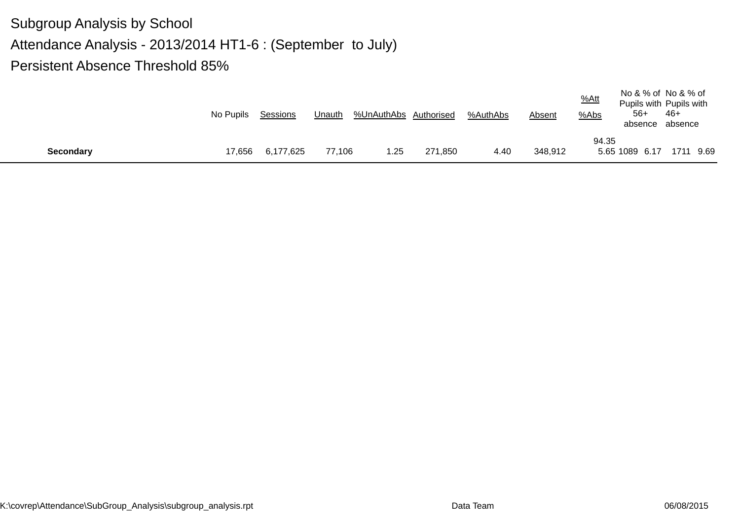|                  | No Pupils | Sessions  | Unauth | %UnAuthAbs Authorised |         | %AuthAbs | <b>Absent</b> | $%$ Att<br>$%$ Abs | No & % of No & % of<br>Pupils with Pupils with<br>-56<br>absence absence | -46+      |  |
|------------------|-----------|-----------|--------|-----------------------|---------|----------|---------------|--------------------|--------------------------------------------------------------------------|-----------|--|
|                  |           |           |        |                       |         |          |               | 94.35              |                                                                          |           |  |
| <b>Secondary</b> | 17,656    | 6,177,625 | 77,106 | 1.25                  | 271,850 | 4.40     | 348,912       |                    | 5.65 1089 6.17                                                           | 1711 9.69 |  |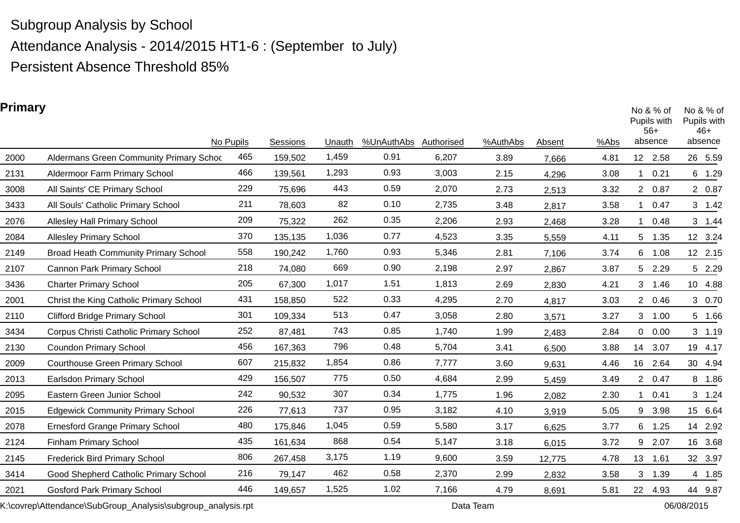Attendance Analysis - 2014/2015 HT1-6 : (September to July)

Persistent Absence Threshold 85%

### **Primary**

| r i mary |                                             | No Pupils | Sessions | Unauth | %UnAuthAbs | Authorised | %AuthAbs | Absent | %Abs |                | No $& %$ of<br>Pupils with<br>$56+$<br>absence | No $& %$ of<br>Pupils with<br>$46+$<br>absence |         |
|----------|---------------------------------------------|-----------|----------|--------|------------|------------|----------|--------|------|----------------|------------------------------------------------|------------------------------------------------|---------|
| 2000     | Aldermans Green Community Primary Schoc     | 465       | 159,502  | 1,459  | 0.91       | 6,207      | 3.89     | 7,666  | 4.81 |                | 12 2.58                                        | 26 5.59                                        |         |
| 2131     | Aldermoor Farm Primary School               | 466       | 139,561  | 1,293  | 0.93       | 3,003      | 2.15     | 4,296  | 3.08 |                | 0.21                                           | 6                                              | 1.29    |
| 3008     | All Saints' CE Primary School               | 229       | 75,696   | 443    | 0.59       | 2,070      | 2.73     | 2,513  | 3.32 |                | 2 0.87                                         |                                                | 2 0.87  |
| 3433     | All Souls' Catholic Primary School          | 211       | 78,603   | 82     | 0.10       | 2,735      | 3.48     | 2,817  | 3.58 |                | 0.47                                           |                                                | 3 1.42  |
| 2076     | <b>Allesley Hall Primary School</b>         | 209       | 75,322   | 262    | 0.35       | 2,206      | 2.93     | 2,468  | 3.28 |                | 0.48                                           |                                                | 3 1.44  |
| 2084     | <b>Allesley Primary School</b>              | 370       | 135,135  | 1,036  | 0.77       | 4,523      | 3.35     | 5,559  | 4.11 | 5 <sup>5</sup> | 1.35                                           | 12 3.24                                        |         |
| 2149     | <b>Broad Heath Community Primary School</b> | 558       | 190,242  | 1,760  | 0.93       | 5,346      | 2.81     | 7,106  | 3.74 |                | 6 1.08                                         | 12 2.15                                        |         |
| 2107     | Cannon Park Primary School                  | 218       | 74,080   | 669    | 0.90       | 2,198      | 2.97     | 2,867  | 3.87 |                | 5 2.29                                         |                                                | 5 2.29  |
| 3436     | <b>Charter Primary School</b>               | 205       | 67,300   | 1,017  | 1.51       | 1,813      | 2.69     | 2,830  | 4.21 | 3              | 1.46                                           | 10 4.88                                        |         |
| 2001     | Christ the King Catholic Primary School     | 431       | 158,850  | 522    | 0.33       | 4,295      | 2.70     | 4,817  | 3.03 |                | 2 0.46                                         |                                                | 3 0.70  |
| 2110     | <b>Clifford Bridge Primary School</b>       | 301       | 109,334  | 513    | 0.47       | 3,058      | 2.80     | 3,571  | 3.27 | 3              | 1.00                                           |                                                | 5 1.66  |
| 3434     | Corpus Christi Catholic Primary School      | 252       | 87,481   | 743    | 0.85       | 1,740      | 1.99     | 2,483  | 2.84 |                | 0 0.00                                         |                                                | 3, 1.19 |
| 2130     | <b>Coundon Primary School</b>               | 456       | 167,363  | 796    | 0.48       | 5,704      | 3.41     | 6,500  | 3.88 | 14             | 3.07                                           | 19 4.17                                        |         |
| 2009     | <b>Courthouse Green Primary School</b>      | 607       | 215,832  | 1,854  | 0.86       | 7,777      | 3.60     | 9,631  | 4.46 |                | 16 2.64                                        | 30 4.94                                        |         |
| 2013     | Earlsdon Primary School                     | 429       | 156,507  | 775    | 0.50       | 4,684      | 2.99     | 5,459  | 3.49 |                | 2 0.47                                         |                                                | 8 1.86  |
| 2095     | Eastern Green Junior School                 | 242       | 90,532   | 307    | 0.34       | 1,775      | 1.96     | 2,082  | 2.30 |                | 0.41                                           |                                                | 3 1.24  |
| 2015     | <b>Edgewick Community Primary School</b>    | 226       | 77,613   | 737    | 0.95       | 3,182      | 4.10     | 3,919  | 5.05 | 9              | 3.98                                           | 15 6.64                                        |         |
| 2078     | <b>Ernesford Grange Primary School</b>      | 480       | 175,846  | 1,045  | 0.59       | 5,580      | 3.17     | 6,625  | 3.77 | 6              | 1.25                                           | 14 2.92                                        |         |
| 2124     | Finham Primary School                       | 435       | 161,634  | 868    | 0.54       | 5,147      | 3.18     | 6,015  | 3.72 | 9              | 2.07                                           | 16 3.68                                        |         |
| 2145     | Frederick Bird Primary School               | 806       | 267,458  | 3,175  | 1.19       | 9,600      | 3.59     | 12,775 | 4.78 | 13             | 1.61                                           | 32 3.97                                        |         |
| 3414     | Good Shepherd Catholic Primary School       | 216       | 79,147   | 462    | 0.58       | 2,370      | 2.99     | 2,832  | 3.58 | 3              | 1.39                                           |                                                | 4 1.85  |
| 2021     | <b>Gosford Park Primary School</b>          | 446       | 149,657  | 1,525  | 1.02       | 7,166      | 4.79     | 8,691  | 5.81 | 22             | 4.93                                           | 44 9.87                                        |         |

K:\covrep\Attendance\SubGroup\_Analysis\subgroup\_analysis.rpt Data Team Data Team 06/08/2015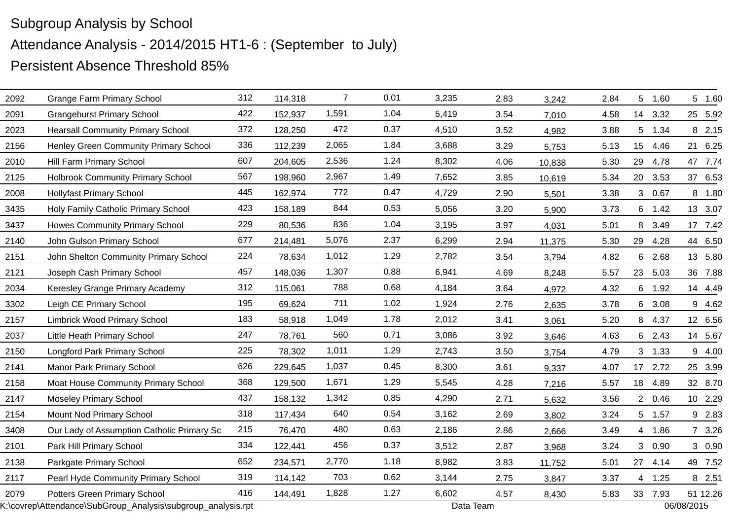|      | K:\covrep\Attendance\SubGroup_Analysis\subgroup_analysis.rpt |     |         |                |      | Data Team |      |        |      |                 |         | 06/08/2015 |
|------|--------------------------------------------------------------|-----|---------|----------------|------|-----------|------|--------|------|-----------------|---------|------------|
| 2079 | <b>Potters Green Primary School</b>                          | 416 | 144,491 | 1,828          | 1.27 | 6,602     | 4.57 | 8,430  | 5.83 |                 | 33 7.93 | 51 12.26   |
| 2117 | Pearl Hyde Community Primary School                          | 319 | 114,142 | 703            | 0.62 | 3,144     | 2.75 | 3,847  | 3.37 | $\overline{4}$  | 1.25    | 8 2.51     |
| 2138 | Parkgate Primary School                                      | 652 | 234,571 | 2,770          | 1.18 | 8,982     | 3.83 | 11,752 | 5.01 | 27              | 4.14    | 49 7.52    |
| 2101 | Park Hill Primary School                                     | 334 | 122,441 | 456            | 0.37 | 3,512     | 2.87 | 3,968  | 3.24 |                 | 3 0.90  | 3 0.90     |
| 3408 | Our Lady of Assumption Catholic Primary Sc                   | 215 | 76,470  | 480            | 0.63 | 2,186     | 2.86 | 2,666  | 3.49 | 4               | 1.86    | 7 3.26     |
| 2154 | Mount Nod Primary School                                     | 318 | 117,434 | 640            | 0.54 | 3,162     | 2.69 | 3,802  | 3.24 |                 | 5 1.57  | 9 2.83     |
| 2147 | <b>Moseley Primary School</b>                                | 437 | 158,132 | 1,342          | 0.85 | 4,290     | 2.71 | 5,632  | 3.56 | $2^{\circ}$     | 0.46    | 10 2.29    |
| 2158 | Moat House Community Primary School                          | 368 | 129,500 | 1,671          | 1.29 | 5,545     | 4.28 | 7,216  | 5.57 | 18              | 4.89    | 32 8.70    |
| 2141 | <b>Manor Park Primary School</b>                             | 626 | 229,645 | 1,037          | 0.45 | 8,300     | 3.61 | 9,337  | 4.07 |                 | 17 2.72 | 25 3.99    |
| 2150 | Longford Park Primary School                                 | 225 | 78,302  | 1,011          | 1.29 | 2,743     | 3.50 | 3,754  | 4.79 |                 | 3, 1.33 | 9 4.00     |
| 2037 | Little Heath Primary School                                  | 247 | 78,761  | 560            | 0.71 | 3,086     | 3.92 | 3,646  | 4.63 | 6               | 2.43    | 14 5.67    |
| 2157 | <b>Limbrick Wood Primary School</b>                          | 183 | 58,918  | 1,049          | 1.78 | 2,012     | 3.41 | 3,061  | 5.20 |                 | 8 4.37  | 12 6.56    |
| 3302 | Leigh CE Primary School                                      | 195 | 69,624  | 711            | 1.02 | 1,924     | 2.76 | 2,635  | 3.78 | 6               | 3.08    | 9 4.62     |
| 2034 | Keresley Grange Primary Academy                              | 312 | 115,061 | 788            | 0.68 | 4,184     | 3.64 | 4,972  | 4.32 |                 | 6 1.92  | 14 4.49    |
| 2121 | Joseph Cash Primary School                                   | 457 | 148,036 | 1,307          | 0.88 | 6,941     | 4.69 | 8,248  | 5.57 | 23              | 5.03    | 36 7.88    |
| 2151 | John Shelton Community Primary School                        | 224 | 78,634  | 1,012          | 1.29 | 2,782     | 3.54 | 3,794  | 4.82 | 6               | 2.68    | 13 5.80    |
| 2140 | John Gulson Primary School                                   | 677 | 214,481 | 5,076          | 2.37 | 6,299     | 2.94 | 11,375 | 5.30 | 29              | 4.28    | 44 6.50    |
| 3437 | Howes Community Primary School                               | 229 | 80,536  | 836            | 1.04 | 3,195     | 3.97 | 4,031  | 5.01 | 8               | 3.49    | 17 7.42    |
| 3435 | Holy Family Catholic Primary School                          | 423 | 158,189 | 844            | 0.53 | 5,056     | 3.20 | 5,900  | 3.73 |                 | 6 1.42  | 13 3.07    |
| 2008 | <b>Hollyfast Primary School</b>                              | 445 | 162,974 | 772            | 0.47 | 4,729     | 2.90 | 5,501  | 3.38 |                 | 3 0.67  | 8 1.80     |
| 2125 | <b>Holbrook Community Primary School</b>                     | 567 | 198,960 | 2,967          | 1.49 | 7,652     | 3.85 | 10,619 | 5.34 | 20              | 3.53    | 37 6.53    |
| 2010 | Hill Farm Primary School                                     | 607 | 204,605 | 2,536          | 1.24 | 8,302     | 4.06 | 10,838 | 5.30 | 29              | 4.78    | 47 7.74    |
| 2156 | Henley Green Community Primary School                        | 336 | 112,239 | 2,065          | 1.84 | 3,688     | 3.29 | 5,753  | 5.13 | 15 <sub>1</sub> | 4.46    | 6.25<br>21 |
| 2023 | <b>Hearsall Community Primary School</b>                     | 372 | 128,250 | 472            | 0.37 | 4,510     | 3.52 | 4,982  | 3.88 |                 | 5 1.34  | 8 2.15     |
| 2091 | <b>Grangehurst Primary School</b>                            | 422 | 152,937 | 1,591          | 1.04 | 5,419     | 3.54 | 7,010  | 4.58 | 14              | 3.32    | 25 5.92    |
| 2092 | <b>Grange Farm Primary School</b>                            | 312 | 114,318 | $\overline{7}$ | 0.01 | 3,235     | 2.83 | 3,242  | 2.84 |                 | 5 1.60  | 5 1.60     |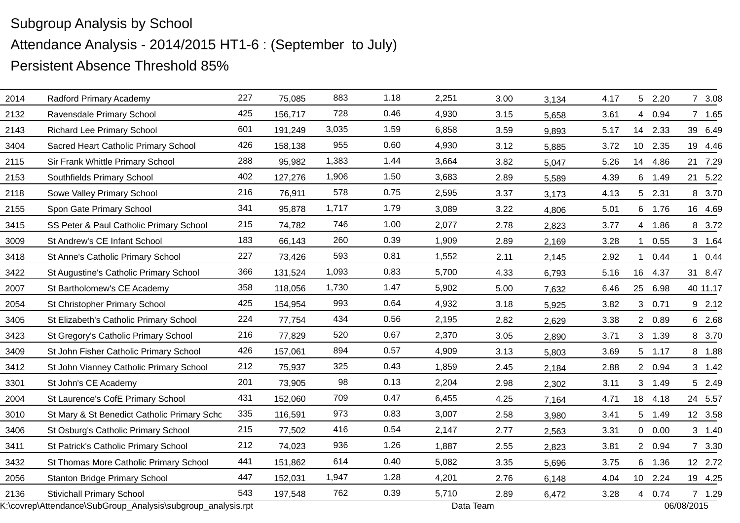| 2014 | Radford Primary Academy                                      | 227 | 75,085  | 883   | 1.18 | 2,251 | 3.00      | 3,134 | 4.17 |                | 5 2.20   | 7 3.08     |
|------|--------------------------------------------------------------|-----|---------|-------|------|-------|-----------|-------|------|----------------|----------|------------|
| 2132 | Ravensdale Primary School                                    | 425 | 156,717 | 728   | 0.46 | 4,930 | 3.15      | 5,658 | 3.61 | 4              | 0.94     | 7 1.65     |
| 2143 | <b>Richard Lee Primary School</b>                            | 601 | 191,249 | 3,035 | 1.59 | 6,858 | 3.59      | 9,893 | 5.17 |                | 14 2.33  | 39 6.49    |
| 3404 | Sacred Heart Catholic Primary School                         | 426 | 158,138 | 955   | 0.60 | 4,930 | 3.12      | 5,885 | 3.72 |                | 10 2.35  | 19 4.46    |
| 2115 | Sir Frank Whittle Primary School                             | 288 | 95,982  | 1,383 | 1.44 | 3,664 | 3.82      | 5,047 | 5.26 | 14             | 4.86     | 21 7.29    |
| 2153 | Southfields Primary School                                   | 402 | 127,276 | 1,906 | 1.50 | 3,683 | 2.89      | 5,589 | 4.39 |                | 6 1.49   | 21 5.22    |
| 2118 | Sowe Valley Primary School                                   | 216 | 76,911  | 578   | 0.75 | 2,595 | 3.37      | 3,173 | 4.13 |                | 5 2.31   | 8 3.70     |
| 2155 | Spon Gate Primary School                                     | 341 | 95,878  | 1,717 | 1.79 | 3,089 | 3.22      | 4,806 | 5.01 |                | 6 1.76   | 16 4.69    |
| 3415 | SS Peter & Paul Catholic Primary School                      | 215 | 74,782  | 746   | 1.00 | 2,077 | 2.78      | 2,823 | 3.77 |                | 4 1.86   | 8 3.72     |
| 3009 | St Andrew's CE Infant School                                 | 183 | 66,143  | 260   | 0.39 | 1,909 | 2.89      | 2,169 | 3.28 | $\mathbf{1}$   | 0.55     | 3 1.64     |
| 3418 | St Anne's Catholic Primary School                            | 227 | 73,426  | 593   | 0.81 | 1,552 | 2.11      | 2,145 | 2.92 | $\mathbf{1}$   | 0.44     | 10.44      |
| 3422 | St Augustine's Catholic Primary School                       | 366 | 131,524 | 1,093 | 0.83 | 5,700 | 4.33      | 6,793 | 5.16 | 16             | 4.37     | 31 8.47    |
| 2007 | St Bartholomew's CE Academy                                  | 358 | 118,056 | 1,730 | 1.47 | 5,902 | 5.00      | 7,632 | 6.46 | 25             | 6.98     | 40 11.17   |
| 2054 | St Christopher Primary School                                | 425 | 154,954 | 993   | 0.64 | 4,932 | 3.18      | 5,925 | 3.82 | 3 <sup>1</sup> | 0.71     | 9 2.12     |
| 3405 | St Elizabeth's Catholic Primary School                       | 224 | 77,754  | 434   | 0.56 | 2,195 | 2.82      | 2,629 | 3.38 | $\overline{2}$ | 0.89     | 6 2.68     |
| 3423 | St Gregory's Catholic Primary School                         | 216 | 77,829  | 520   | 0.67 | 2,370 | 3.05      | 2,890 | 3.71 |                | 3 1.39   | 8 3.70     |
| 3409 | St John Fisher Catholic Primary School                       | 426 | 157,061 | 894   | 0.57 | 4,909 | 3.13      | 5,803 | 3.69 |                | $5$ 1.17 | 8 1.88     |
| 3412 | St John Vianney Catholic Primary School                      | 212 | 75,937  | 325   | 0.43 | 1,859 | 2.45      | 2,184 | 2.88 |                | 2 0.94   | 3 1.42     |
| 3301 | St John's CE Academy                                         | 201 | 73,905  | 98    | 0.13 | 2,204 | 2.98      | 2,302 | 3.11 |                | 3 1.49   | 5 2.49     |
| 2004 | St Laurence's CofE Primary School                            | 431 | 152,060 | 709   | 0.47 | 6,455 | 4.25      | 7,164 | 4.71 | 18             | 4.18     | 24 5.57    |
| 3010 | St Mary & St Benedict Catholic Primary Scho                  | 335 | 116,591 | 973   | 0.83 | 3,007 | 2.58      | 3,980 | 3.41 | 5 <sub>5</sub> | 1.49     | 12 3.58    |
| 3406 | St Osburg's Catholic Primary School                          | 215 | 77,502  | 416   | 0.54 | 2,147 | 2.77      | 2,563 | 3.31 | $\overline{0}$ | 0.00     | 3 1.40     |
| 3411 | St Patrick's Catholic Primary School                         | 212 | 74,023  | 936   | 1.26 | 1,887 | 2.55      | 2,823 | 3.81 |                | 2 0.94   | 7 3.30     |
| 3432 | St Thomas More Catholic Primary School                       | 441 | 151,862 | 614   | 0.40 | 5,082 | 3.35      | 5,696 | 3.75 |                | 6 1.36   | 12 2.72    |
| 2056 | <b>Stanton Bridge Primary School</b>                         | 447 | 152,031 | 1,947 | 1.28 | 4,201 | 2.76      | 6,148 | 4.04 |                | 10 2.24  | 19 4.25    |
| 2136 | <b>Stivichall Primary School</b>                             | 543 | 197,548 | 762   | 0.39 | 5,710 | 2.89      | 6,472 | 3.28 |                | 4 0.74   | 7 1.29     |
|      | K:\covrep\Attendance\SubGroup_Analysis\subgroup_analysis.rpt |     |         |       |      |       | Data Team |       |      |                |          | 06/08/2015 |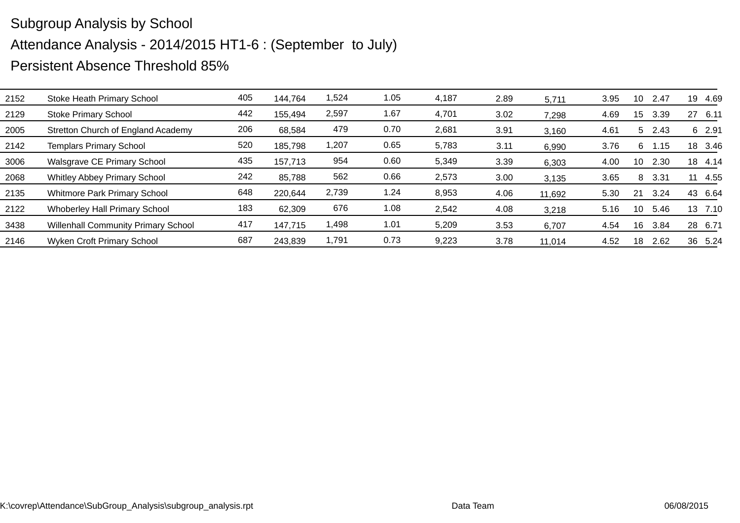| 2152 | Stoke Heath Primary School                 | 405 | 144,764 | 1,524 | 1.05 | 4,187 | 2.89 | 5,711  | 3.95 | 10 | 2.47 | 19 | 4.69    |
|------|--------------------------------------------|-----|---------|-------|------|-------|------|--------|------|----|------|----|---------|
| 2129 | <b>Stoke Primary School</b>                | 442 | 155,494 | 2,597 | 1.67 | 4,701 | 3.02 | 7,298  | 4.69 | 15 | 3.39 | 27 | 6.11    |
| 2005 | Stretton Church of England Academy         | 206 | 68,584  | 479   | 0.70 | 2,681 | 3.91 | 3,160  | 4.61 | 5  | 2.43 |    | 6 2.91  |
| 2142 | <b>Templars Primary School</b>             | 520 | 185,798 | 1,207 | 0.65 | 5,783 | 3.11 | 6,990  | 3.76 | 6  | 1.15 | 18 | 3.46    |
| 3006 | Walsgrave CE Primary School                | 435 | 157,713 | 954   | 0.60 | 5,349 | 3.39 | 6,303  | 4.00 | 10 | 2.30 | 18 | 4.14    |
| 2068 | <b>Whitley Abbey Primary School</b>        | 242 | 85,788  | 562   | 0.66 | 2,573 | 3.00 | 3,135  | 3.65 | 8  | 3.31 | 11 | 4.55    |
| 2135 | <b>Whitmore Park Primary School</b>        | 648 | 220,644 | 2,739 | 1.24 | 8,953 | 4.06 | 11,692 | 5.30 | 21 | 3.24 |    | 43 6.64 |
| 2122 | <b>Whoberley Hall Primary School</b>       | 183 | 62,309  | 676   | 1.08 | 2,542 | 4.08 | 3,218  | 5.16 | 10 | 5.46 |    | 13 7.10 |
| 3438 | <b>Willenhall Community Primary School</b> | 417 | 147,715 | 1,498 | 1.01 | 5,209 | 3.53 | 6,707  | 4.54 | 16 | 3.84 | 28 | 6.71    |
| 2146 | <b>Wyken Croft Primary School</b>          | 687 | 243,839 | 1,791 | 0.73 | 9,223 | 3.78 | 11,014 | 4.52 | 18 | 2.62 | 36 | 5.24    |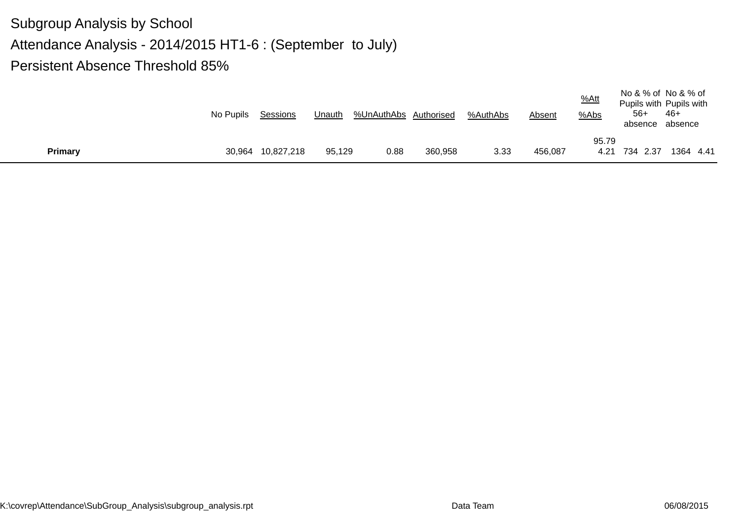|         | No Pupils | Sessions          | Unauth | %UnAuthAbs Authorised |         | %AuthAbs | Absent  | $%$ Att<br>%Abs | $56+$<br>absence absence | No & % of No & % of<br>Pupils with Pupils with<br>-46+ |
|---------|-----------|-------------------|--------|-----------------------|---------|----------|---------|-----------------|--------------------------|--------------------------------------------------------|
| Primary |           | 30,964 10,827,218 | 95.129 | 0.88                  | 360,958 | 3.33     | 456,087 | 95.79<br>4.21   | 734 2.37                 | 1364 4.41                                              |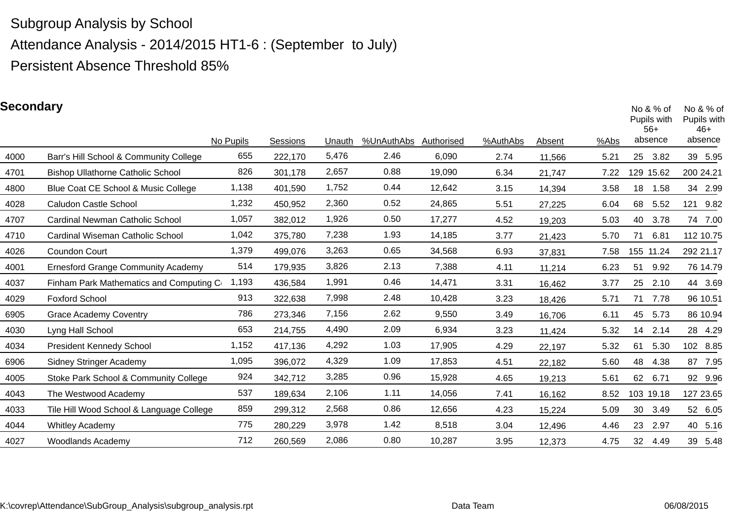Attendance Analysis - 2014/2015 HT1-6 : (September to July)

Persistent Absence Threshold 85%

### **Secondary**

| pecondary |                                           | No Pupils | Sessions | Unauth | %UnAuthAbs | Authorised | %AuthAbs | Absent | %Abs | No $& %$ of<br>Pupils with<br>$56+$<br>absence | No $8%$ of<br>Pupils with<br>$46+$<br>absence |
|-----------|-------------------------------------------|-----------|----------|--------|------------|------------|----------|--------|------|------------------------------------------------|-----------------------------------------------|
| 4000      | Barr's Hill School & Community College    | 655       | 222,170  | 5,476  | 2.46       | 6,090      | 2.74     | 11,566 | 5.21 | 25<br>3.82                                     | 39 5.95                                       |
| 4701      | <b>Bishop Ullathorne Catholic School</b>  | 826       | 301,178  | 2,657  | 0.88       | 19,090     | 6.34     | 21,747 | 7.22 | 129<br>15.62                                   | 200 24.21                                     |
| 4800      | Blue Coat CE School & Music College       | 1,138     | 401,590  | 1,752  | 0.44       | 12,642     | 3.15     | 14,394 | 3.58 | 18<br>1.58                                     | 34 2.99                                       |
| 4028      | Caludon Castle School                     | 1,232     | 450,952  | 2,360  | 0.52       | 24,865     | 5.51     | 27,225 | 6.04 | 68<br>5.52                                     | 121 9.82                                      |
| 4707      | Cardinal Newman Catholic School           | 1,057     | 382,012  | 1,926  | 0.50       | 17,277     | 4.52     | 19,203 | 5.03 | 40<br>3.78                                     | 74 7.00                                       |
| 4710      | Cardinal Wiseman Catholic School          | 1,042     | 375,780  | 7,238  | 1.93       | 14,185     | 3.77     | 21,423 | 5.70 | 71<br>6.81                                     | 112 10.75                                     |
| 4026      | Coundon Court                             | 1,379     | 499,076  | 3,263  | 0.65       | 34,568     | 6.93     | 37,831 | 7.58 | 155 11.24                                      | 292 21.17                                     |
| 4001      | <b>Ernesford Grange Community Academy</b> | 514       | 179,935  | 3,826  | 2.13       | 7,388      | 4.11     | 11,214 | 6.23 | 51<br>9.92                                     | 76 14.79                                      |
| 4037      | Finham Park Mathematics and Computing Co  | 1,193     | 436,584  | 1,991  | 0.46       | 14,471     | 3.31     | 16,462 | 3.77 | 25<br>2.10                                     | 44 3.69                                       |
| 4029      | <b>Foxford School</b>                     | 913       | 322,638  | 7,998  | 2.48       | 10,428     | 3.23     | 18,426 | 5.71 | 71<br>7.78                                     | 96 10.51                                      |
| 6905      | <b>Grace Academy Coventry</b>             | 786       | 273,346  | 7,156  | 2.62       | 9,550      | 3.49     | 16,706 | 6.11 | 45<br>5.73                                     | 86 10.94                                      |
| 4030      | Lyng Hall School                          | 653       | 214,755  | 4,490  | 2.09       | 6,934      | 3.23     | 11,424 | 5.32 | 14 2.14                                        | 28 4.29                                       |
| 4034      | <b>President Kennedy School</b>           | 1,152     | 417,136  | 4,292  | 1.03       | 17,905     | 4.29     | 22,197 | 5.32 | 61<br>5.30                                     | 102 8.85                                      |
| 6906      | <b>Sidney Stringer Academy</b>            | 1,095     | 396,072  | 4,329  | 1.09       | 17,853     | 4.51     | 22,182 | 5.60 | 48<br>4.38                                     | 87 7.95                                       |
| 4005      | Stoke Park School & Community College     | 924       | 342,712  | 3,285  | 0.96       | 15,928     | 4.65     | 19,213 | 5.61 | 62<br>6.71                                     | 92 9.96                                       |
| 4043      | The Westwood Academy                      | 537       | 189,634  | 2,106  | 1.11       | 14,056     | 7.41     | 16,162 | 8.52 | 103 19.18                                      | 127 23.65                                     |
| 4033      | Tile Hill Wood School & Language College  | 859       | 299,312  | 2,568  | 0.86       | 12,656     | 4.23     | 15,224 | 5.09 | 30<br>3.49                                     | 52 6.05                                       |
| 4044      | <b>Whitley Academy</b>                    | 775       | 280,229  | 3,978  | 1.42       | 8,518      | 3.04     | 12,496 | 4.46 | 23<br>2.97                                     | 40 5.16                                       |
| 4027      | <b>Woodlands Academy</b>                  | 712       | 260,569  | 2,086  | 0.80       | 10,287     | 3.95     | 12,373 | 4.75 | 32<br>4.49                                     | 39 5.48                                       |